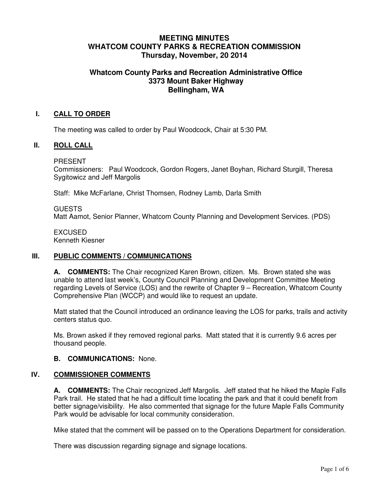# **MEETING MINUTES WHATCOM COUNTY PARKS & RECREATION COMMISSION Thursday, November, 20 2014**

# **Whatcom County Parks and Recreation Administrative Office 3373 Mount Baker Highway Bellingham, WA**

#### **I. CALL TO ORDER**

The meeting was called to order by Paul Woodcock, Chair at 5:30 PM.

#### **II. ROLL CALL**

PRESENT

Commissioners: Paul Woodcock, Gordon Rogers, Janet Boyhan, Richard Sturgill, Theresa Sygitowicz and Jeff Margolis

Staff: Mike McFarlane, Christ Thomsen, Rodney Lamb, Darla Smith

#### GUESTS

Matt Aamot, Senior Planner, Whatcom County Planning and Development Services. (PDS)

**EXCUSED** Kenneth Kiesner

#### **III. PUBLIC COMMENTS / COMMUNICATIONS**

**A. COMMENTS:** The Chair recognized Karen Brown, citizen. Ms. Brown stated she was unable to attend last week's, County Council Planning and Development Committee Meeting regarding Levels of Service (LOS) and the rewrite of Chapter 9 – Recreation, Whatcom County Comprehensive Plan (WCCP) and would like to request an update.

Matt stated that the Council introduced an ordinance leaving the LOS for parks, trails and activity centers status quo.

Ms. Brown asked if they removed regional parks. Matt stated that it is currently 9.6 acres per thousand people.

#### **B. COMMUNICATIONS:** None.

## **IV. COMMISSIONER COMMENTS**

**A. COMMENTS:** The Chair recognized Jeff Margolis. Jeff stated that he hiked the Maple Falls Park trail. He stated that he had a difficult time locating the park and that it could benefit from better signage/visibility. He also commented that signage for the future Maple Falls Community Park would be advisable for local community consideration.

Mike stated that the comment will be passed on to the Operations Department for consideration.

There was discussion regarding signage and signage locations.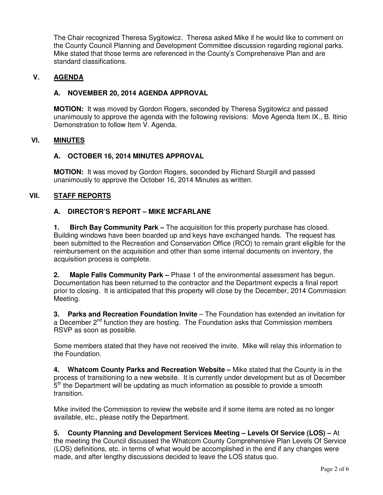The Chair recognized Theresa Sygitowicz. Theresa asked Mike if he would like to comment on the County Council Planning and Development Committee discussion regarding regional parks. Mike stated that those terms are referenced in the County's Comprehensive Plan and are standard classifications.

## **V. AGENDA**

## **A. NOVEMBER 20, 2014 AGENDA APPROVAL**

**MOTION:** It was moved by Gordon Rogers, seconded by Theresa Sygitowicz and passed unanimously to approve the agenda with the following revisions: Move Agenda Item IX., B. Itinio Demonstration to follow Item V. Agenda.

## **VI. MINUTES**

## **A. OCTOBER 16, 2014 MINUTES APPROVAL**

**MOTION:** It was moved by Gordon Rogers, seconded by Richard Sturgill and passed unanimously to approve the October 16, 2014 Minutes as written.

## **VII. STAFF REPORTS**

## **A. DIRECTOR'S REPORT – MIKE MCFARLANE**

**1. Birch Bay Community Park –** The acquisition for this property purchase has closed. Building windows have been boarded up and keys have exchanged hands. The request has been submitted to the Recreation and Conservation Office (RCO) to remain grant eligible for the reimbursement on the acquisition and other than some internal documents on inventory, the acquisition process is complete.

**2. Maple Falls Community Park –** Phase 1 of the environmental assessment has begun. Documentation has been returned to the contractor and the Department expects a final report prior to closing. It is anticipated that this property will close by the December, 2014 Commission Meeting.

**3. Parks and Recreation Foundation Invite** – The Foundation has extended an invitation for a December  $2^{nd}$  function they are hosting. The Foundation asks that Commission members RSVP as soon as possible.

Some members stated that they have not received the invite. Mike will relay this information to the Foundation.

**4. Whatcom County Parks and Recreation Website –** Mike stated that the County is in the process of transitioning to a new website. It is currently under development but as of December  $5<sup>th</sup>$  the Department will be updating as much information as possible to provide a smooth transition.

Mike invited the Commission to review the website and if some items are noted as no longer available, etc., please notify the Department.

**5. County Planning and Development Services Meeting – Levels Of Service (LOS) –** At the meeting the Council discussed the Whatcom County Comprehensive Plan Levels Of Service (LOS) definitions, etc. in terms of what would be accomplished in the end if any changes were made, and after lengthy discussions decided to leave the LOS status quo.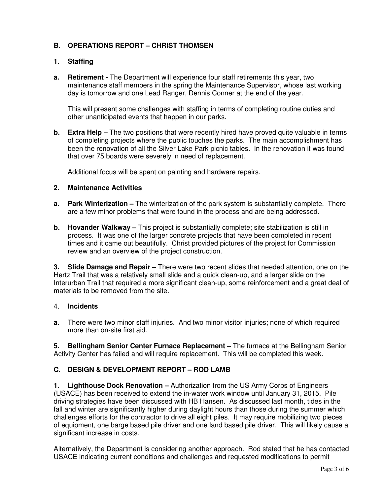# **B. OPERATIONS REPORT – CHRIST THOMSEN**

# **1. Staffing**

**a. Retirement -** The Department will experience four staff retirements this year, two maintenance staff members in the spring the Maintenance Supervisor, whose last working day is tomorrow and one Lead Ranger, Dennis Conner at the end of the year.

This will present some challenges with staffing in terms of completing routine duties and other unanticipated events that happen in our parks.

**b.** Extra Help – The two positions that were recently hired have proved quite valuable in terms of completing projects where the public touches the parks. The main accomplishment has been the renovation of all the Silver Lake Park picnic tables. In the renovation it was found that over 75 boards were severely in need of replacement.

Additional focus will be spent on painting and hardware repairs.

## **2. Maintenance Activities**

- **a. Park Winterization** The winterization of the park system is substantially complete. There are a few minor problems that were found in the process and are being addressed.
- **b.** Hovander Walkway This project is substantially complete; site stabilization is still in process. It was one of the larger concrete projects that have been completed in recent times and it came out beautifully. Christ provided pictures of the project for Commission review and an overview of the project construction.

**3. Slide Damage and Repair –** There were two recent slides that needed attention, one on the Hertz Trail that was a relatively small slide and a quick clean-up, and a larger slide on the Interurban Trail that required a more significant clean-up, some reinforcement and a great deal of materials to be removed from the site.

## 4. **Incidents**

**a.** There were two minor staff injuries. And two minor visitor injuries; none of which required more than on-site first aid.

**5. Bellingham Senior Center Furnace Replacement –** The furnace at the Bellingham Senior Activity Center has failed and will require replacement. This will be completed this week.

# **C. DESIGN & DEVELOPMENT REPORT – ROD LAMB**

**1. Lighthouse Dock Renovation –** Authorization from the US Army Corps of Engineers (USACE) has been received to extend the in-water work window until January 31, 2015. Pile driving strategies have been discussed with HB Hansen. As discussed last month, tides in the fall and winter are significantly higher during daylight hours than those during the summer which challenges efforts for the contractor to drive all eight piles. It may require mobilizing two pieces of equipment, one barge based pile driver and one land based pile driver. This will likely cause a significant increase in costs.

Alternatively, the Department is considering another approach. Rod stated that he has contacted USACE indicating current conditions and challenges and requested modifications to permit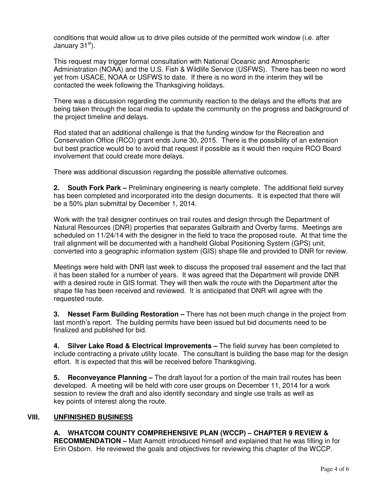conditions that would allow us to drive piles outside of the permitted work window (i.e. after January 31st).

This request may trigger formal consultation with National Oceanic and Atmospheric Administration (NOAA) and the U.S. Fish & Wildlife Service (USFWS). There has been no word yet from USACE, NOAA or USFWS to date. If there is no word in the interim they will be contacted the week following the Thanksgiving holidays.

There was a discussion regarding the community reaction to the delays and the efforts that are being taken through the local media to update the community on the progress and background of the project timeline and delays.

Rod stated that an additional challenge is that the funding window for the Recreation and Conservation Office (RCO) grant ends June 30, 2015. There is the possibility of an extension but best practice would be to avoid that request if possible as it would then require RCO Board involvement that could create more delays.

There was additional discussion regarding the possible alternative outcomes.

**2. South Fork Park –** Preliminary engineering is nearly complete. The additional field survey has been completed and incorporated into the design documents. It is expected that there will be a 50% plan submittal by December 1, 2014.

Work with the trail designer continues on trail routes and design through the Department of Natural Resources (DNR) properties that separates Galbraith and Overby farms. Meetings are scheduled on 11/24/14 with the designer in the field to trace the proposed route. At that time the trail alignment will be documented with a handheld Global Positioning System (GPS) unit, converted into a geographic information system (GIS) shape file and provided to DNR for review.

Meetings were held with DNR last week to discuss the proposed trail easement and the fact that it has been stalled for a number of years. It was agreed that the Department will provide DNR with a desired route in GIS format. They will then walk the route with the Department after the shape file has been received and reviewed. It is anticipated that DNR will agree with the requested route.

**3. Nesset Farm Building Restoration –** There has not been much change in the project from last month's report. The building permits have been issued but bid documents need to be finalized and published for bid.

**4. Silver Lake Road & Electrical Improvements –** The field survey has been completed to include contracting a private utility locate. The consultant is building the base map for the design effort. It is expected that this will be received before Thanksgiving.

**5. Reconveyance Planning –** The draft layout for a portion of the main trail routes has been developed. A meeting will be held with core user groups on December 11, 2014 for a work session to review the draft and also identify secondary and single use trails as well as key points of interest along the route.

# **VIII. UNFINISHED BUSINESS**

**A. WHATCOM COUNTY COMPREHENSIVE PLAN (WCCP) – CHAPTER 9 REVIEW & RECOMMENDATION –** Matt Aamott introduced himself and explained that he was filling in for Erin Osborn. He reviewed the goals and objectives for reviewing this chapter of the WCCP.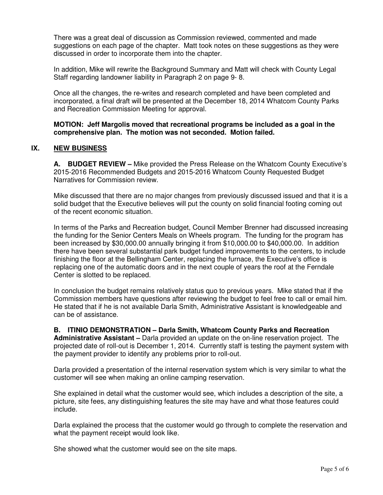There was a great deal of discussion as Commission reviewed, commented and made suggestions on each page of the chapter. Matt took notes on these suggestions as they were discussed in order to incorporate them into the chapter.

In addition, Mike will rewrite the Background Summary and Matt will check with County Legal Staff regarding landowner liability in Paragraph 2 on page 9- 8.

Once all the changes, the re-writes and research completed and have been completed and incorporated, a final draft will be presented at the December 18, 2014 Whatcom County Parks and Recreation Commission Meeting for approval.

#### **MOTION: Jeff Margolis moved that recreational programs be included as a goal in the comprehensive plan. The motion was not seconded. Motion failed.**

## **IX. NEW BUSINESS**

**A. BUDGET REVIEW –** Mike provided the Press Release on the Whatcom County Executive's 2015-2016 Recommended Budgets and 2015-2016 Whatcom County Requested Budget Narratives for Commission review.

Mike discussed that there are no major changes from previously discussed issued and that it is a solid budget that the Executive believes will put the county on solid financial footing coming out of the recent economic situation.

In terms of the Parks and Recreation budget, Council Member Brenner had discussed increasing the funding for the Senior Centers Meals on Wheels program. The funding for the program has been increased by \$30,000.00 annually bringing it from \$10,000.00 to \$40,000.00. In addition there have been several substantial park budget funded improvements to the centers, to include finishing the floor at the Bellingham Center, replacing the furnace, the Executive's office is replacing one of the automatic doors and in the next couple of years the roof at the Ferndale Center is slotted to be replaced.

In conclusion the budget remains relatively status quo to previous years. Mike stated that if the Commission members have questions after reviewing the budget to feel free to call or email him. He stated that if he is not available Darla Smith, Administrative Assistant is knowledgeable and can be of assistance.

# **B. ITINIO DEMONSTRATION – Darla Smith, Whatcom County Parks and Recreation**

**Administrative Assistant –** Darla provided an update on the on-line reservation project. The projected date of roll-out is December 1, 2014. Currently staff is testing the payment system with the payment provider to identify any problems prior to roll-out.

Darla provided a presentation of the internal reservation system which is very similar to what the customer will see when making an online camping reservation.

She explained in detail what the customer would see, which includes a description of the site, a picture, site fees, any distinguishing features the site may have and what those features could include.

Darla explained the process that the customer would go through to complete the reservation and what the payment receipt would look like.

She showed what the customer would see on the site maps.